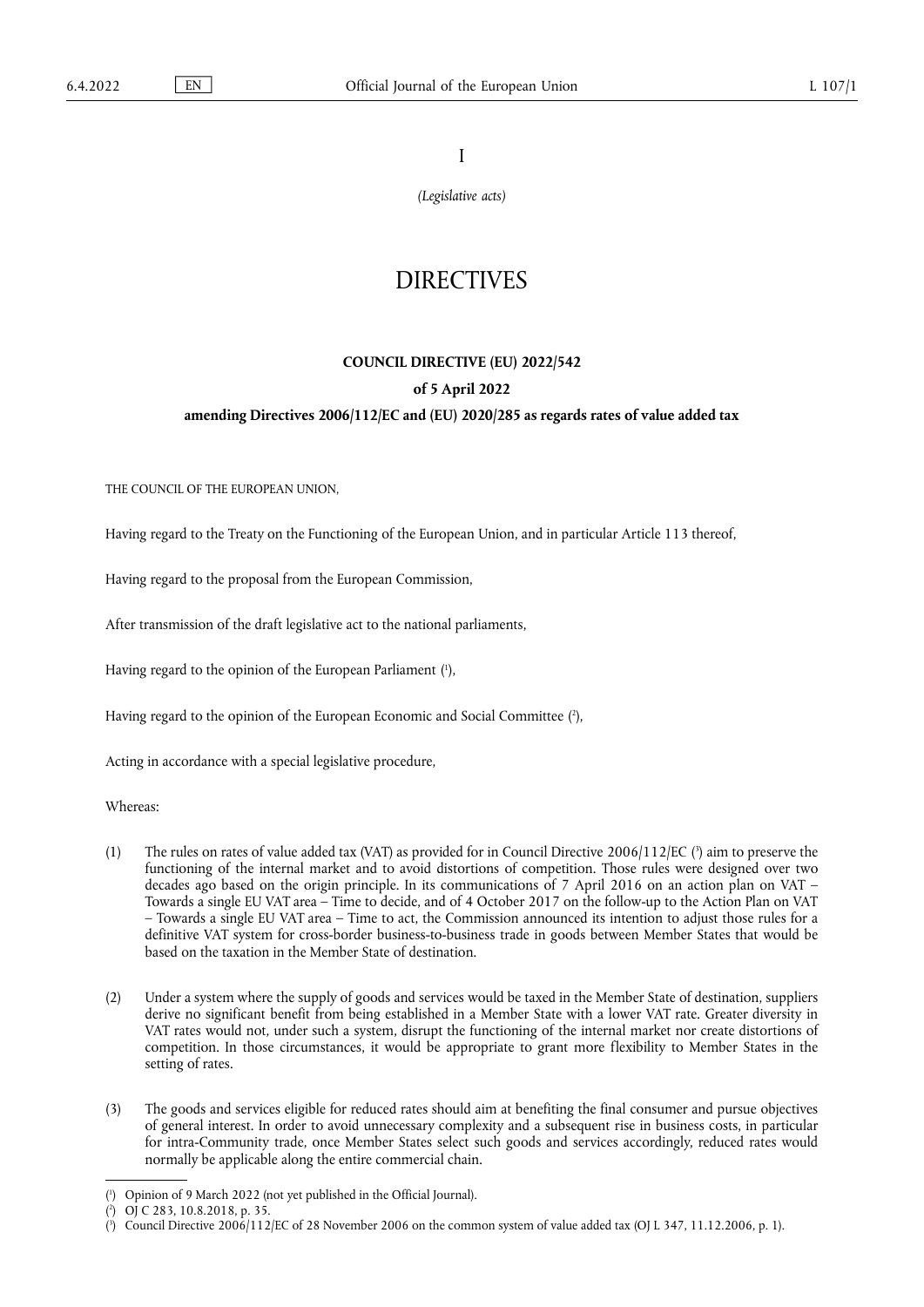I

*(Legislative acts)*

# **DIRECTIVES**

# **COUNCIL DIRECTIVE (EU) 2022/542 of 5 April 2022**

## **amending Directives 2006/112/EC and (EU) 2020/285 as regards rates of value added tax**

THE COUNCIL OF THE EUROPEAN UNION,

Having regard to the Treaty on the Functioning of the European Union, and in particular Article 113 thereof,

Having regard to the proposal from the European Commission,

After transmission of the draft legislative act to the national parliaments,

<span id="page-0-3"></span>Having regard to the opinion of the European Parliament ( 1 [\),](#page-0-0)

<span id="page-0-4"></span>Having regard to the opinion of the European Economic and Social Committee ( 2 [\),](#page-0-1)

Acting in accordance with a special legislative procedure,

Whereas:

- <span id="page-0-5"></span>[\(](#page-0-2)1) The rules on rates of value added tax (VAT) as provided for in Council Directive  $2006/112/EC$  ( $\degree$ ) aim to preserve the functioning of the internal market and to avoid distortions of competition. Those rules were designed over two decades ago based on the origin principle. In its communications of 7 April 2016 on an action plan on VAT – Towards a single EU VAT area – Time to decide, and of 4 October 2017 on the follow-up to the Action Plan on VAT – Towards a single EU VAT area – Time to act, the Commission announced its intention to adjust those rules for a definitive VAT system for cross-border business-to-business trade in goods between Member States that would be based on the taxation in the Member State of destination.
- (2) Under a system where the supply of goods and services would be taxed in the Member State of destination, suppliers derive no significant benefit from being established in a Member State with a lower VAT rate. Greater diversity in VAT rates would not, under such a system, disrupt the functioning of the internal market nor create distortions of competition. In those circumstances, it would be appropriate to grant more flexibility to Member States in the setting of rates.
- (3) The goods and services eligible for reduced rates should aim at benefiting the final consumer and pursue objectives of general interest. In order to avoid unnecessary complexity and a subsequent rise in business costs, in particular for intra-Community trade, once Member States select such goods and services accordingly, reduced rates would normally be applicable along the entire commercial chain.

<span id="page-0-0"></span>[<sup>\(</sup>](#page-0-3) 1 ) Opinion of 9 March 2022 (not yet published in the Official Journal).

<span id="page-0-1"></span> $(2)$  $(2)$ ) OJ C 283, 10.8.2018, p. 35.

<span id="page-0-2"></span><sup>(</sup> 3 [\)](#page-0-5) Council Directive 2006/112/EC of 28 November 2006 on the common system of value added tax (OJ L 347, 11.12.2006, p. 1).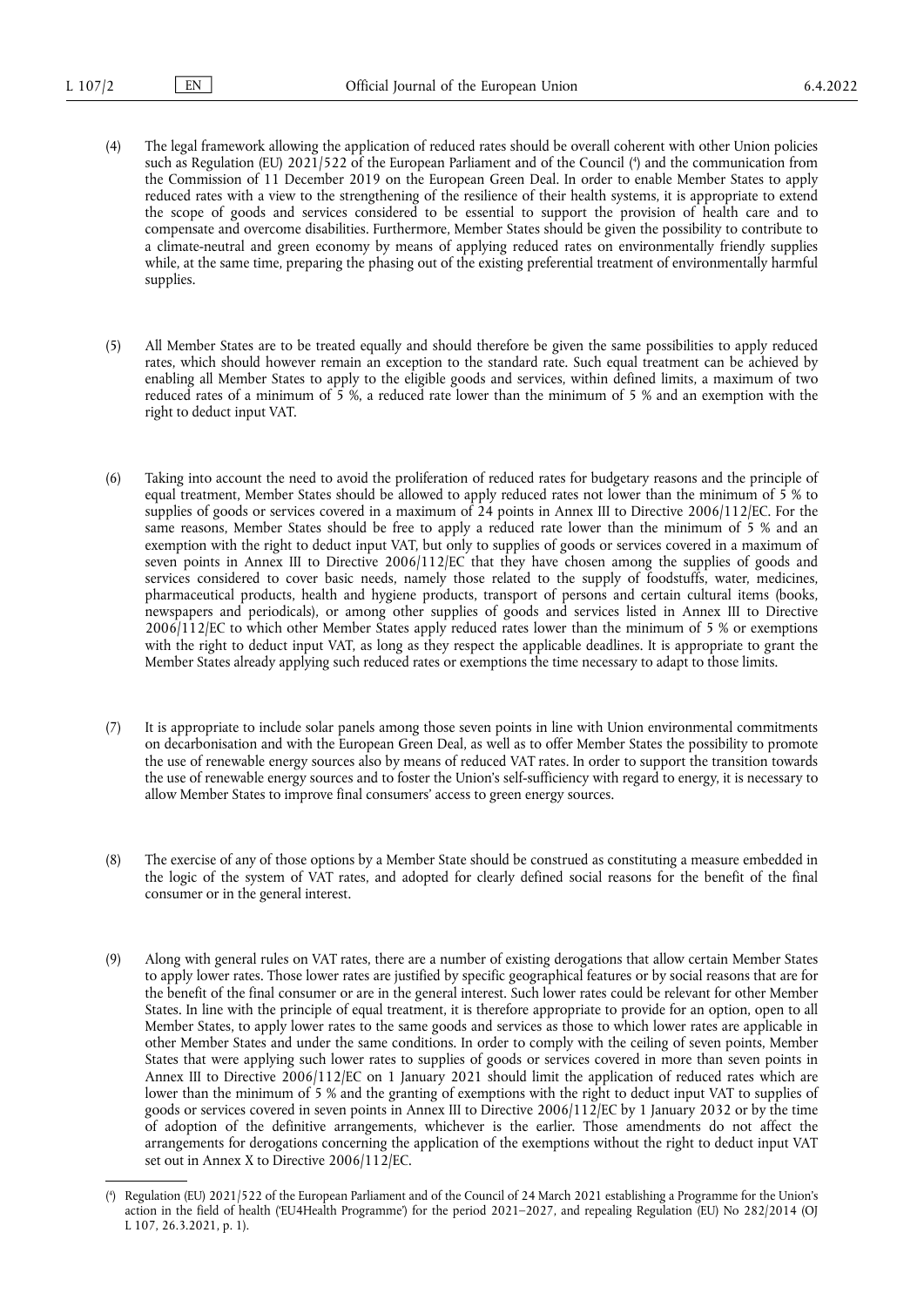- <span id="page-1-1"></span>(4) The legal framework allowing the application of reduced rates should be overall coherent with other Union policies such as Regulation (EU) 2021/522 of the European Parliament and of the Council [\(](#page-1-0) 4 ) and the communication from the Commission of 11 December 2019 on the European Green Deal. In order to enable Member States to apply reduced rates with a view to the strengthening of the resilience of their health systems, it is appropriate to extend the scope of goods and services considered to be essential to support the provision of health care and to compensate and overcome disabilities. Furthermore, Member States should be given the possibility to contribute to a climate-neutral and green economy by means of applying reduced rates on environmentally friendly supplies while, at the same time, preparing the phasing out of the existing preferential treatment of environmentally harmful supplies.
- (5) All Member States are to be treated equally and should therefore be given the same possibilities to apply reduced rates, which should however remain an exception to the standard rate. Such equal treatment can be achieved by enabling all Member States to apply to the eligible goods and services, within defined limits, a maximum of two reduced rates of a minimum of 5 %, a reduced rate lower than the minimum of 5 % and an exemption with the right to deduct input VAT.
- (6) Taking into account the need to avoid the proliferation of reduced rates for budgetary reasons and the principle of equal treatment, Member States should be allowed to apply reduced rates not lower than the minimum of 5 % to supplies of goods or services covered in a maximum of 24 points in Annex III to Directive 2006/112/EC. For the same reasons, Member States should be free to apply a reduced rate lower than the minimum of 5 % and an exemption with the right to deduct input VAT, but only to supplies of goods or services covered in a maximum of seven points in Annex III to Directive 2006/112/EC that they have chosen among the supplies of goods and services considered to cover basic needs, namely those related to the supply of foodstuffs, water, medicines, pharmaceutical products, health and hygiene products, transport of persons and certain cultural items (books, newspapers and periodicals), or among other supplies of goods and services listed in Annex III to Directive 2006/112/EC to which other Member States apply reduced rates lower than the minimum of 5 % or exemptions with the right to deduct input VAT, as long as they respect the applicable deadlines. It is appropriate to grant the Member States already applying such reduced rates or exemptions the time necessary to adapt to those limits.
- (7) It is appropriate to include solar panels among those seven points in line with Union environmental commitments on decarbonisation and with the European Green Deal, as well as to offer Member States the possibility to promote the use of renewable energy sources also by means of reduced VAT rates. In order to support the transition towards the use of renewable energy sources and to foster the Union's self-sufficiency with regard to energy, it is necessary to allow Member States to improve final consumers' access to green energy sources.
- (8) The exercise of any of those options by a Member State should be construed as constituting a measure embedded in the logic of the system of VAT rates, and adopted for clearly defined social reasons for the benefit of the final consumer or in the general interest.
- (9) Along with general rules on VAT rates, there are a number of existing derogations that allow certain Member States to apply lower rates. Those lower rates are justified by specific geographical features or by social reasons that are for the benefit of the final consumer or are in the general interest. Such lower rates could be relevant for other Member States. In line with the principle of equal treatment, it is therefore appropriate to provide for an option, open to all Member States, to apply lower rates to the same goods and services as those to which lower rates are applicable in other Member States and under the same conditions. In order to comply with the ceiling of seven points, Member States that were applying such lower rates to supplies of goods or services covered in more than seven points in Annex III to Directive 2006/112/EC on 1 January 2021 should limit the application of reduced rates which are lower than the minimum of 5 % and the granting of exemptions with the right to deduct input VAT to supplies of goods or services covered in seven points in Annex III to Directive 2006/112/EC by 1 January 2032 or by the time of adoption of the definitive arrangements, whichever is the earlier. Those amendments do not affect the arrangements for derogations concerning the application of the exemptions without the right to deduct input VAT set out in Annex X to Directive 2006/112/EC.

<span id="page-1-0"></span>[<sup>\(</sup>](#page-1-1) 4 ) Regulation (EU) 2021/522 of the European Parliament and of the Council of 24 March 2021 establishing a Programme for the Union's action in the field of health ('EU4Health Programme') for the period 2021–2027, and repealing Regulation (EU) No 282/2014 (OJ L 107, 26.3.2021, p. 1).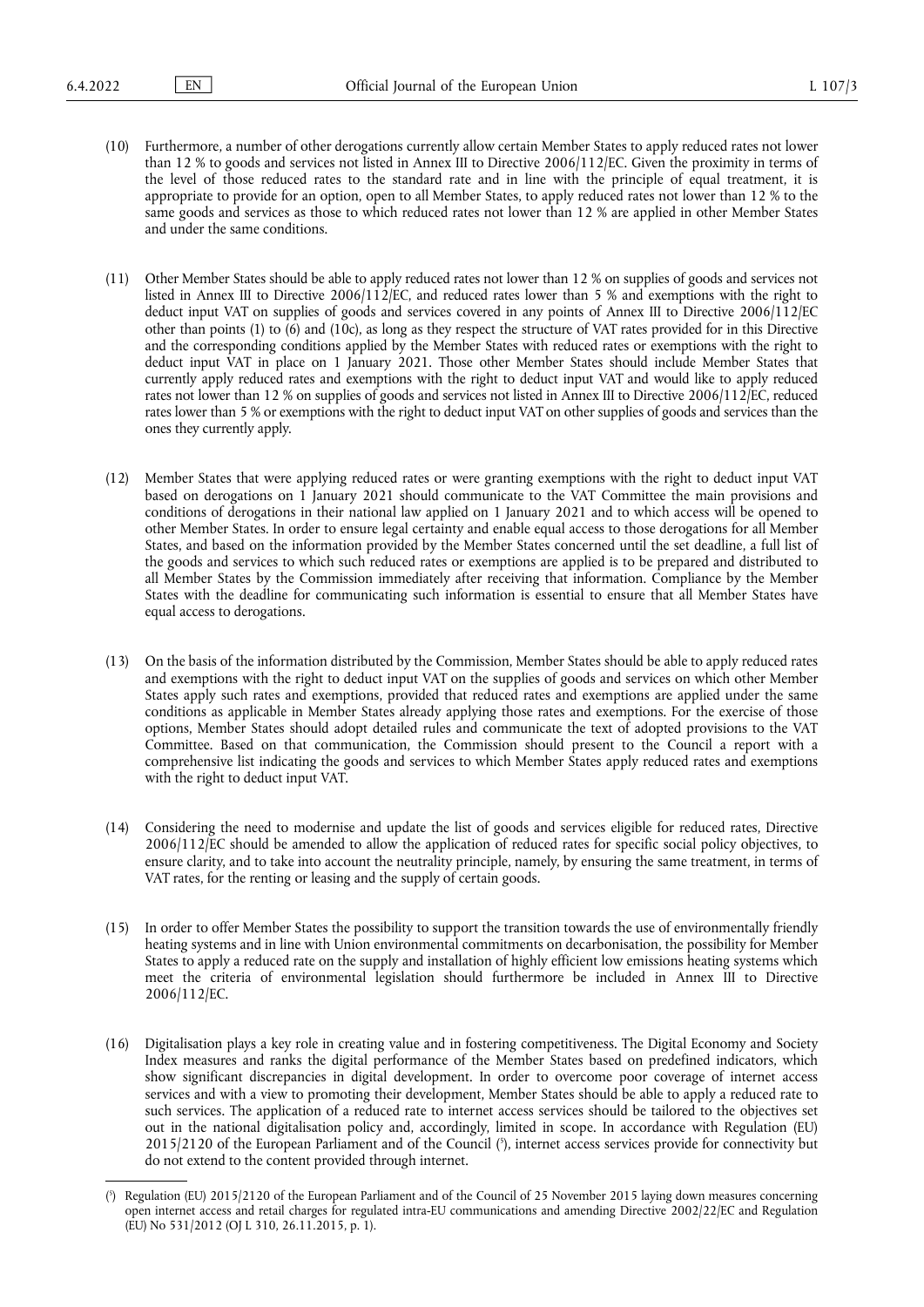- (10) Furthermore, a number of other derogations currently allow certain Member States to apply reduced rates not lower than 12 % to goods and services not listed in Annex III to Directive 2006/112/EC. Given the proximity in terms of the level of those reduced rates to the standard rate and in line with the principle of equal treatment, it is appropriate to provide for an option, open to all Member States, to apply reduced rates not lower than 12 % to the same goods and services as those to which reduced rates not lower than 12 % are applied in other Member States and under the same conditions.
- (11) Other Member States should be able to apply reduced rates not lower than 12 % on supplies of goods and services not listed in Annex III to Directive 2006/112/EC, and reduced rates lower than 5 % and exemptions with the right to deduct input VAT on supplies of goods and services covered in any points of Annex III to Directive 2006/112/EC other than points (1) to  $\overline{(6)}$  and  $\overline{(10c)}$ , as long as they respect the structure of VAT rates provided for in this Directive and the corresponding conditions applied by the Member States with reduced rates or exemptions with the right to deduct input VAT in place on 1 January 2021. Those other Member States should include Member States that currently apply reduced rates and exemptions with the right to deduct input VAT and would like to apply reduced rates not lower than 12 % on supplies of goods and services not listed in Annex III to Directive 2006/112/EC, reduced rates lower than 5 % or exemptions with the right to deduct input VAT on other supplies of goods and services than the ones they currently apply.
- (12) Member States that were applying reduced rates or were granting exemptions with the right to deduct input VAT based on derogations on 1 January 2021 should communicate to the VAT Committee the main provisions and conditions of derogations in their national law applied on 1 January 2021 and to which access will be opened to other Member States. In order to ensure legal certainty and enable equal access to those derogations for all Member States, and based on the information provided by the Member States concerned until the set deadline, a full list of the goods and services to which such reduced rates or exemptions are applied is to be prepared and distributed to all Member States by the Commission immediately after receiving that information. Compliance by the Member States with the deadline for communicating such information is essential to ensure that all Member States have equal access to derogations.
- (13) On the basis of the information distributed by the Commission, Member States should be able to apply reduced rates and exemptions with the right to deduct input VAT on the supplies of goods and services on which other Member States apply such rates and exemptions, provided that reduced rates and exemptions are applied under the same conditions as applicable in Member States already applying those rates and exemptions. For the exercise of those options, Member States should adopt detailed rules and communicate the text of adopted provisions to the VAT Committee. Based on that communication, the Commission should present to the Council a report with a comprehensive list indicating the goods and services to which Member States apply reduced rates and exemptions with the right to deduct input VAT.
- (14) Considering the need to modernise and update the list of goods and services eligible for reduced rates, Directive 2006/112/EC should be amended to allow the application of reduced rates for specific social policy objectives, to ensure clarity, and to take into account the neutrality principle, namely, by ensuring the same treatment, in terms of VAT rates, for the renting or leasing and the supply of certain goods.
- (15) In order to offer Member States the possibility to support the transition towards the use of environmentally friendly heating systems and in line with Union environmental commitments on decarbonisation, the possibility for Member States to apply a reduced rate on the supply and installation of highly efficient low emissions heating systems which meet the criteria of environmental legislation should furthermore be included in Annex III to Directive 2006/112/EC.
- (16) Digitalisation plays a key role in creating value and in fostering competitiveness. The Digital Economy and Society Index measures and ranks the digital performance of the Member States based on predefined indicators, which show significant discrepancies in digital development. In order to overcome poor coverage of internet access services and with a view to promoting their development, Member States should be able to apply a reduced rate to such services. The application of a reduced rate to internet access services should be tailored to the objectives set out in the national digitalisation policy and, accordingly, limited in scope. In accordance with Regulation (EU) 2015/2120 of the European Parliament and of the Council [\(](#page-2-0) 5 ), internet access services provide for connectivity but do not extend to the content provided through internet.

<span id="page-2-1"></span><span id="page-2-0"></span>[<sup>\(</sup>](#page-2-1) 5 ) Regulation (EU) 2015/2120 of the European Parliament and of the Council of 25 November 2015 laying down measures concerning open internet access and retail charges for regulated intra-EU communications and amending Directive 2002/22/EC and Regulation (EU) No 531/2012 (OJ L 310, 26.11.2015, p. 1).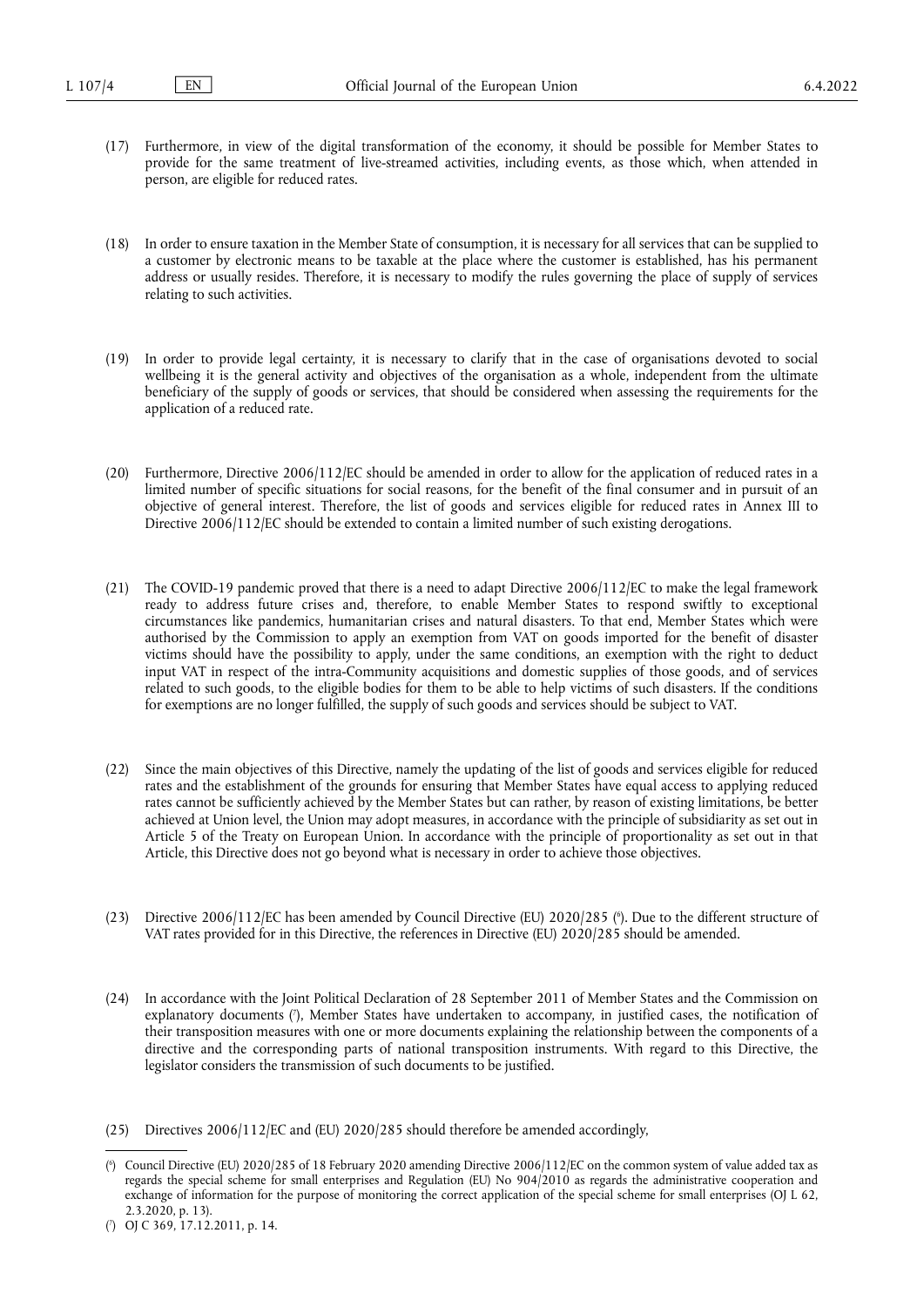- (17) Furthermore, in view of the digital transformation of the economy, it should be possible for Member States to provide for the same treatment of live-streamed activities, including events, as those which, when attended in person, are eligible for reduced rates.
- (18) In order to ensure taxation in the Member State of consumption, it is necessary for all services that can be supplied to a customer by electronic means to be taxable at the place where the customer is established, has his permanent address or usually resides. Therefore, it is necessary to modify the rules governing the place of supply of services relating to such activities.
- (19) In order to provide legal certainty, it is necessary to clarify that in the case of organisations devoted to social wellbeing it is the general activity and objectives of the organisation as a whole, independent from the ultimate beneficiary of the supply of goods or services, that should be considered when assessing the requirements for the application of a reduced rate.
- (20) Furthermore, Directive 2006/112/EC should be amended in order to allow for the application of reduced rates in a limited number of specific situations for social reasons, for the benefit of the final consumer and in pursuit of an objective of general interest. Therefore, the list of goods and services eligible for reduced rates in Annex III to Directive 2006/112/EC should be extended to contain a limited number of such existing derogations.
- (21) The COVID-19 pandemic proved that there is a need to adapt Directive 2006/112/EC to make the legal framework ready to address future crises and, therefore, to enable Member States to respond swiftly to exceptional circumstances like pandemics, humanitarian crises and natural disasters. To that end, Member States which were authorised by the Commission to apply an exemption from VAT on goods imported for the benefit of disaster victims should have the possibility to apply, under the same conditions, an exemption with the right to deduct input VAT in respect of the intra-Community acquisitions and domestic supplies of those goods, and of services related to such goods, to the eligible bodies for them to be able to help victims of such disasters. If the conditions for exemptions are no longer fulfilled, the supply of such goods and services should be subject to VAT.
- (22) Since the main objectives of this Directive, namely the updating of the list of goods and services eligible for reduced rates and the establishment of the grounds for ensuring that Member States have equal access to applying reduced rates cannot be sufficiently achieved by the Member States but can rather, by reason of existing limitations, be better achieved at Union level, the Union may adopt measures, in accordance with the principle of subsidiarity as set out in Article 5 of the Treaty on European Union. In accordance with the principle of proportionality as set out in that Article, this Directive does not go beyond what is necessary in order to achieve those objectives.
- <span id="page-3-2"></span>(23) Directive 2006/112/EC has been amended by Council Directive (EU) 2020/285 ( 6 [\).](#page-3-0) Due to the different structure of VAT rates provided for in this Directive, the references in Directive (EU) 2020/285 should be amended.
- <span id="page-3-3"></span>(24) In accordance with the Joint Political Declaration of 28 September 2011 of Member States and the Commission on explanatory documents ( 7 [\),](#page-3-1) Member States have undertaken to accompany, in justified cases, the notification of their transposition measures with one or more documents explaining the relationship between the components of a directive and the corresponding parts of national transposition instruments. With regard to this Directive, the legislator considers the transmission of such documents to be justified.

<sup>(25)</sup> Directives 2006/112/EC and (EU) 2020/285 should therefore be amended accordingly,

<span id="page-3-0"></span>[<sup>\(</sup>](#page-3-2) 6 ) Council Directive (EU) 2020/285 of 18 February 2020 amending Directive 2006/112/EC on the common system of value added tax as regards the special scheme for small enterprises and Regulation (EU) No 904/2010 as regards the administrative cooperation and exchange of information for the purpose of monitoring the correct application of the special scheme for small enterprises (OJ L 62, 2.3.2020, p. 13).

<span id="page-3-1"></span><sup>(</sup> 7 [\)](#page-3-3) OJ C 369, 17.12.2011, p. 14.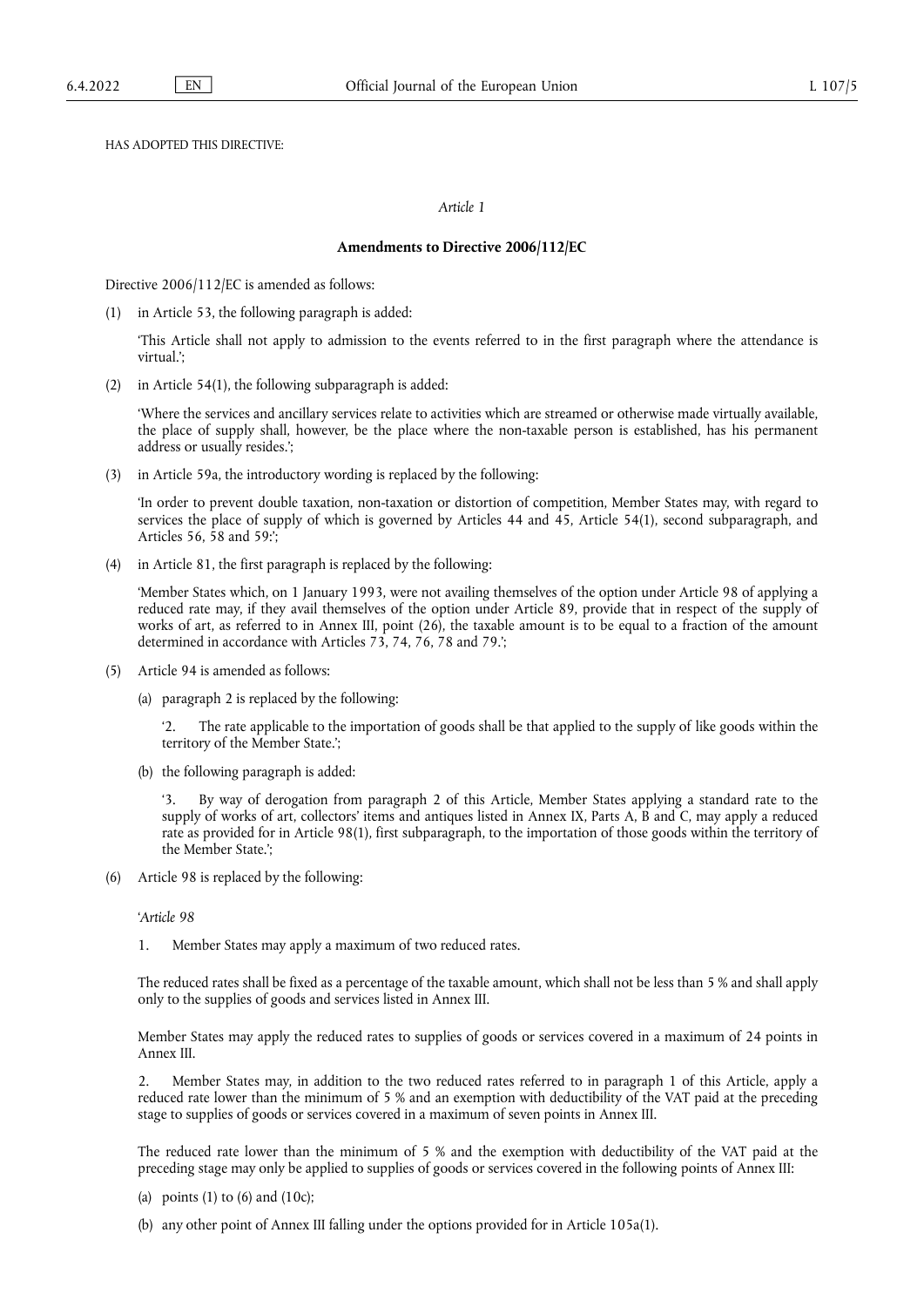HAS ADOPTED THIS DIRECTIVE:

#### *Article 1*

#### **Amendments to Directive 2006/112/EC**

Directive 2006/112/EC is amended as follows:

(1) in Article 53, the following paragraph is added:

'This Article shall not apply to admission to the events referred to in the first paragraph where the attendance is virtual.';

(2) in Article 54(1), the following subparagraph is added:

'Where the services and ancillary services relate to activities which are streamed or otherwise made virtually available, the place of supply shall, however, be the place where the non-taxable person is established, has his permanent address or usually resides.';

(3) in Article 59a, the introductory wording is replaced by the following:

'In order to prevent double taxation, non-taxation or distortion of competition, Member States may, with regard to services the place of supply of which is governed by Articles 44 and  $\overline{45}$ , Article 54(1), second subparagraph, and Articles 56, 58 and 59:';

(4) in Article 81, the first paragraph is replaced by the following:

'Member States which, on 1 January 1993, were not availing themselves of the option under Article 98 of applying a reduced rate may, if they avail themselves of the option under Article 89, provide that in respect of the supply of works of art, as referred to in Annex III, point (26), the taxable amount is to be equal to a fraction of the amount determined in accordance with Articles 73, 74, 76, 78 and 79.';

- (5) Article 94 is amended as follows:
	- (a) paragraph 2 is replaced by the following:

The rate applicable to the importation of goods shall be that applied to the supply of like goods within the territory of the Member State.';

(b) the following paragraph is added:

'3. By way of derogation from paragraph 2 of this Article, Member States applying a standard rate to the supply of works of art, collectors' items and antiques listed in Annex IX, Parts A, B and C, may apply a reduced rate as provided for in Article 98(1), first subparagraph, to the importation of those goods within the territory of the Member State.';

(6) Article 98 is replaced by the following:

'*Article 98*

1. Member States may apply a maximum of two reduced rates.

The reduced rates shall be fixed as a percentage of the taxable amount, which shall not be less than 5 % and shall apply only to the supplies of goods and services listed in Annex III.

Member States may apply the reduced rates to supplies of goods or services covered in a maximum of 24 points in Annex III.

2. Member States may, in addition to the two reduced rates referred to in paragraph 1 of this Article, apply a reduced rate lower than the minimum of 5 % and an exemption with deductibility of the VAT paid at the preceding stage to supplies of goods or services covered in a maximum of seven points in Annex III.

The reduced rate lower than the minimum of 5 % and the exemption with deductibility of the VAT paid at the preceding stage may only be applied to supplies of goods or services covered in the following points of Annex III:

- (a) points  $(1)$  to  $(6)$  and  $(10c)$ ;
- (b) any other point of Annex III falling under the options provided for in Article 105a(1).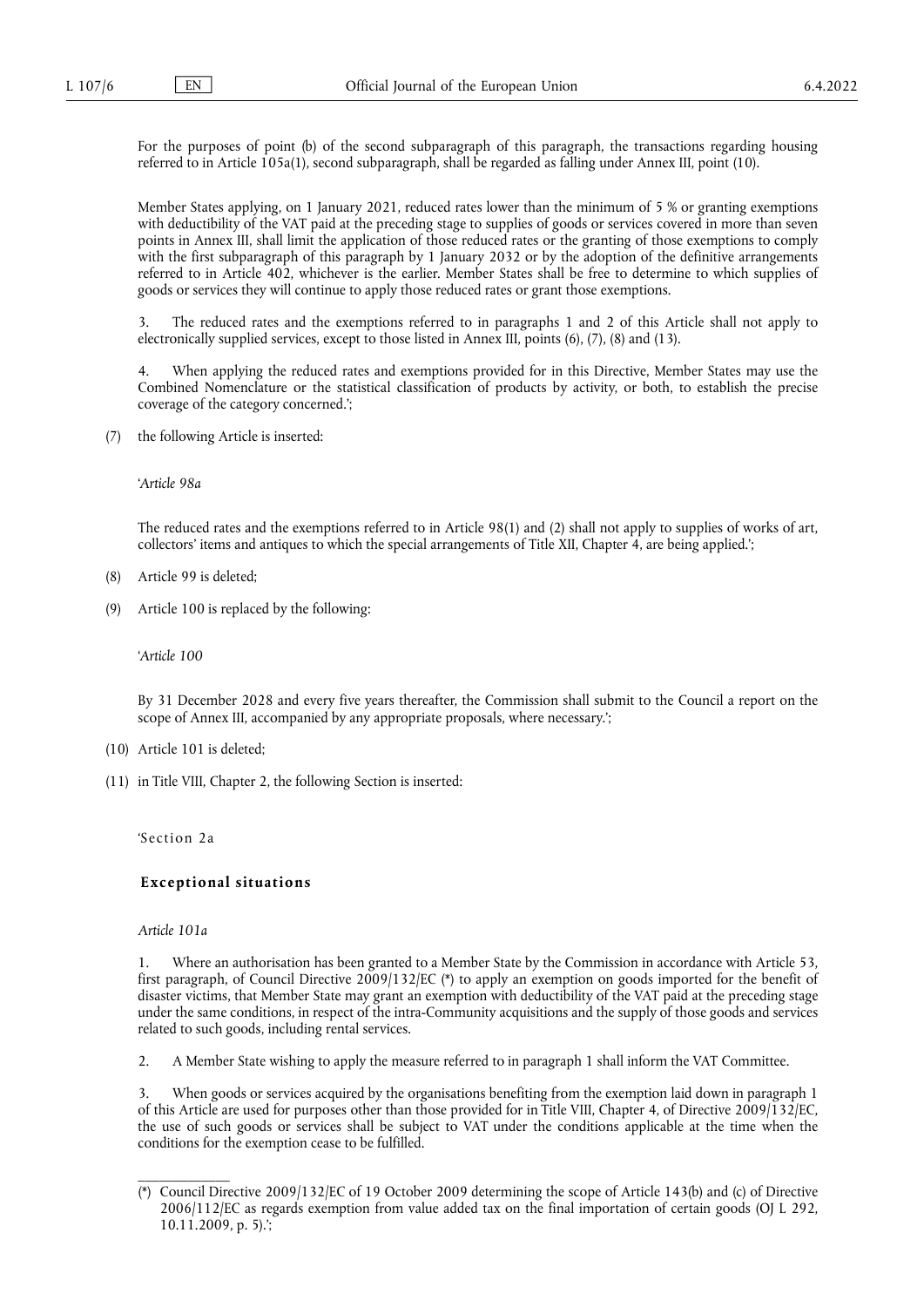For the purposes of point (b) of the second subparagraph of this paragraph, the transactions regarding housing referred to in Article 105a(1), second subparagraph, shall be regarded as falling under Annex III, point (10).

Member States applying, on 1 January 2021, reduced rates lower than the minimum of 5 % or granting exemptions with deductibility of the VAT paid at the preceding stage to supplies of goods or services covered in more than seven points in Annex III, shall limit the application of those reduced rates or the granting of those exemptions to comply with the first subparagraph of this paragraph by 1 January 2032 or by the adoption of the definitive arrangements referred to in Article 402, whichever is the earlier. Member States shall be free to determine to which supplies of goods or services they will continue to apply those reduced rates or grant those exemptions.

3. The reduced rates and the exemptions referred to in paragraphs 1 and 2 of this Article shall not apply to electronically supplied services, except to those listed in Annex III, points (6), (7), (8) and (13).

4. When applying the reduced rates and exemptions provided for in this Directive, Member States may use the Combined Nomenclature or the statistical classification of products by activity, or both, to establish the precise coverage of the category concerned.';

(7) the following Article is inserted:

'*Article 98a*

The reduced rates and the exemptions referred to in Article 98(1) and (2) shall not apply to supplies of works of art, collectors' items and antiques to which the special arrangements of Title XII, Chapter 4, are being applied.';

- (8) Article 99 is deleted;
- (9) Article 100 is replaced by the following:

'*Article 100*

By 31 December 2028 and every five years thereafter, the Commission shall submit to the Council a report on the scope of Annex III, accompanied by any appropriate proposals, where necessary.';

- (10) Article 101 is deleted;
- (11) in Title VIII, Chapter 2, the following Section is inserted:

'Section 2a

#### **E xceptional situations**

#### *Article 101a*

\_\_\_\_\_\_\_\_\_\_\_\_\_

1. Where an authorisation has been granted to a Member State by the Commission in accordance with Article 53, first paragraph, of Council Directive 2009/132/E[C \(\\*\)](#page-5-0) to apply an exemption on goods imported for the benefit of disaster victims, that Member State may grant an exemption with deductibility of the VAT paid at the preceding stage under the same conditions, in respect of the intra-Community acquisitions and the supply of those goods and services related to such goods, including rental services.

2. A Member State wishing to apply the measure referred to in paragraph 1 shall inform the VAT Committee.

3. When goods or services acquired by the organisations benefiting from the exemption laid down in paragraph 1 of this Article are used for purposes other than those provided for in Title VIII, Chapter 4, of Directive 2009/132/EC, the use of such goods or services shall be subject to VAT under the conditions applicable at the time when the conditions for the exemption cease to be fulfilled.

<span id="page-5-0"></span><sup>(\*)</sup> Council Directive 2009/132/EC of 19 October 2009 determining the scope of Article 143(b) and (c) of Directive 2006/112/EC as regards exemption from value added tax on the final importation of certain goods (OJ L 292, 10.11.2009, p. 5).';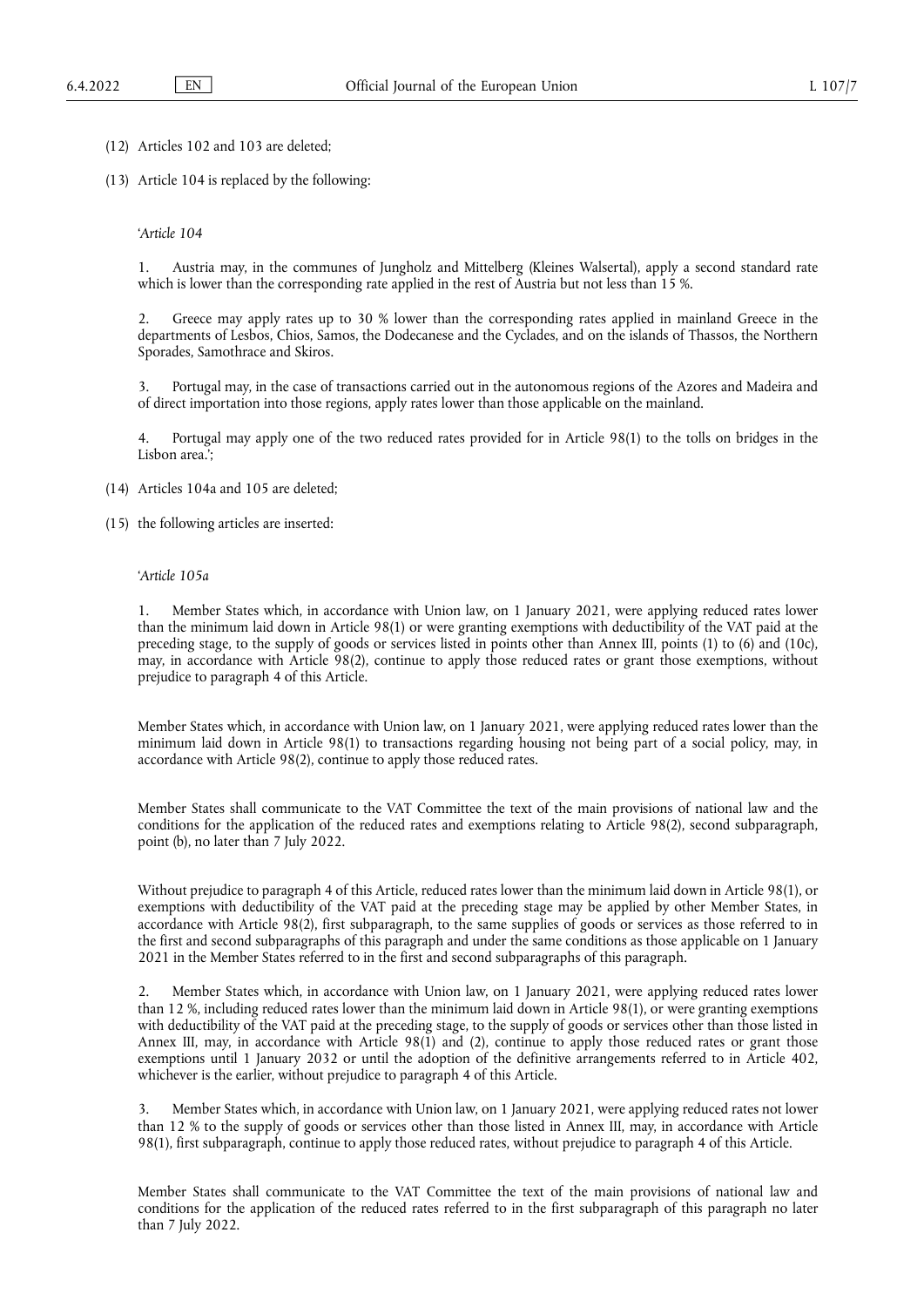(12) Articles 102 and 103 are deleted;

(13) Article 104 is replaced by the following:

'*Article 104*

1. Austria may, in the communes of Jungholz and Mittelberg (Kleines Walsertal), apply a second standard rate which is lower than the corresponding rate applied in the rest of Austria but not less than 15 %.

2. Greece may apply rates up to 30 % lower than the corresponding rates applied in mainland Greece in the departments of Lesbos, Chios, Samos, the Dodecanese and the Cyclades, and on the islands of Thassos, the Northern Sporades, Samothrace and Skiros.

3. Portugal may, in the case of transactions carried out in the autonomous regions of the Azores and Madeira and of direct importation into those regions, apply rates lower than those applicable on the mainland.

4. Portugal may apply one of the two reduced rates provided for in Article 98(1) to the tolls on bridges in the Lisbon area.';

(14) Articles 104a and 105 are deleted;

(15) the following articles are inserted:

#### '*Article 105a*

1. Member States which, in accordance with Union law, on 1 January 2021, were applying reduced rates lower than the minimum laid down in Article 98(1) or were granting exemptions with deductibility of the VAT paid at the preceding stage, to the supply of goods or services listed in points other than Annex III, points (1) to (6) and (10c), may, in accordance with Article 98(2), continue to apply those reduced rates or grant those exemptions, without prejudice to paragraph 4 of this Article.

Member States which, in accordance with Union law, on 1 January 2021, were applying reduced rates lower than the minimum laid down in Article 98(1) to transactions regarding housing not being part of a social policy, may, in accordance with Article 98(2), continue to apply those reduced rates.

Member States shall communicate to the VAT Committee the text of the main provisions of national law and the conditions for the application of the reduced rates and exemptions relating to Article 98(2), second subparagraph, point (b), no later than 7 July 2022.

Without prejudice to paragraph 4 of this Article, reduced rates lower than the minimum laid down in Article 98(1), or exemptions with deductibility of the VAT paid at the preceding stage may be applied by other Member States, in accordance with Article 98(2), first subparagraph, to the same supplies of goods or services as those referred to in the first and second subparagraphs of this paragraph and under the same conditions as those applicable on 1 January 2021 in the Member States referred to in the first and second subparagraphs of this paragraph.

2. Member States which, in accordance with Union law, on 1 January 2021, were applying reduced rates lower than 12 %, including reduced rates lower than the minimum laid down in Article 98(1), or were granting exemptions with deductibility of the VAT paid at the preceding stage, to the supply of goods or services other than those listed in Annex III, may, in accordance with Article 98(1) and (2), continue to apply those reduced rates or grant those exemptions until 1 January 2032 or until the adoption of the definitive arrangements referred to in Article 402, whichever is the earlier, without prejudice to paragraph 4 of this Article.

3. Member States which, in accordance with Union law, on 1 January 2021, were applying reduced rates not lower than 12 % to the supply of goods or services other than those listed in Annex III, may, in accordance with Article 98(1), first subparagraph, continue to apply those reduced rates, without prejudice to paragraph 4 of this Article.

Member States shall communicate to the VAT Committee the text of the main provisions of national law and conditions for the application of the reduced rates referred to in the first subparagraph of this paragraph no later than 7 July 2022.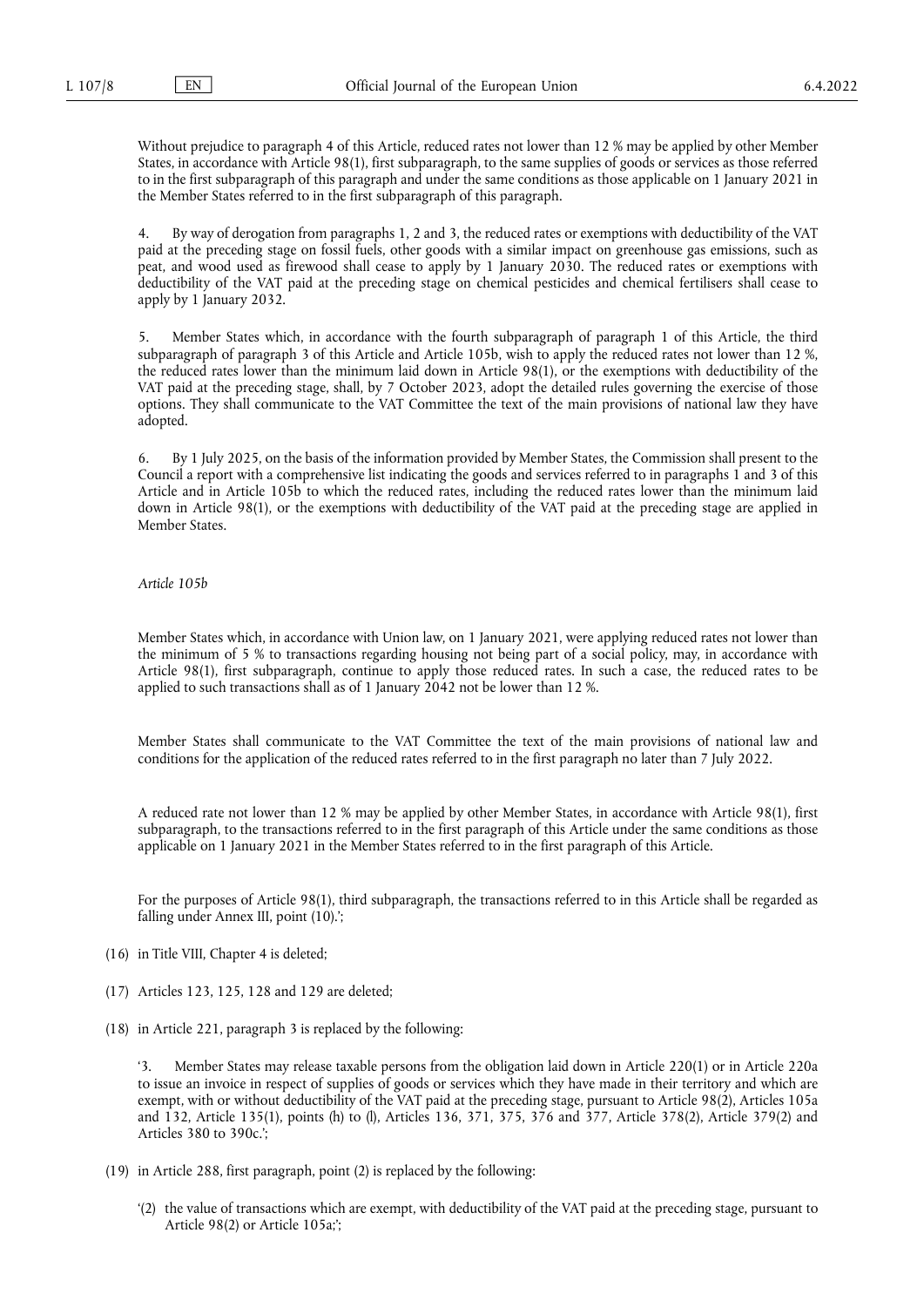Without prejudice to paragraph 4 of this Article, reduced rates not lower than 12 % may be applied by other Member States, in accordance with Article 98(1), first subparagraph, to the same supplies of goods or services as those referred to in the first subparagraph of this paragraph and under the same conditions as those applicable on 1 January 2021 in the Member States referred to in the first subparagraph of this paragraph.

4. By way of derogation from paragraphs 1, 2 and 3, the reduced rates or exemptions with deductibility of the VAT paid at the preceding stage on fossil fuels, other goods with a similar impact on greenhouse gas emissions, such as peat, and wood used as firewood shall cease to apply by 1 January 2030. The reduced rates or exemptions with deductibility of the VAT paid at the preceding stage on chemical pesticides and chemical fertilisers shall cease to apply by 1 January 2032.

5. Member States which, in accordance with the fourth subparagraph of paragraph 1 of this Article, the third subparagraph of paragraph 3 of this Article and Article 105b, wish to apply the reduced rates not lower than 12 %, the reduced rates lower than the minimum laid down in Article 98(1), or the exemptions with deductibility of the VAT paid at the preceding stage, shall, by 7 October 2023, adopt the detailed rules governing the exercise of those options. They shall communicate to the VAT Committee the text of the main provisions of national law they have adopted.

6. By 1 July 2025, on the basis of the information provided by Member States, the Commission shall present to the Council a report with a comprehensive list indicating the goods and services referred to in paragraphs 1 and 3 of this Article and in Article 105b to which the reduced rates, including the reduced rates lower than the minimum laid down in Article 98(1), or the exemptions with deductibility of the VAT paid at the preceding stage are applied in Member States.

#### *Article 105b*

Member States which, in accordance with Union law, on 1 January 2021, were applying reduced rates not lower than the minimum of 5 % to transactions regarding housing not being part of a social policy, may, in accordance with Article 98(1), first subparagraph, continue to apply those reduced rates. In such a case, the reduced rates to be applied to such transactions shall as of 1 January 2042 not be lower than 12 %.

Member States shall communicate to the VAT Committee the text of the main provisions of national law and conditions for the application of the reduced rates referred to in the first paragraph no later than 7 July 2022.

A reduced rate not lower than 12 % may be applied by other Member States, in accordance with Article 98(1), first subparagraph, to the transactions referred to in the first paragraph of this Article under the same conditions as those applicable on 1 January 2021 in the Member States referred to in the first paragraph of this Article.

For the purposes of Article 98(1), third subparagraph, the transactions referred to in this Article shall be regarded as falling under Annex III, point (10).';

- (16) in Title VIII, Chapter 4 is deleted;
- (17) Articles 123, 125, 128 and 129 are deleted;
- (18) in Article 221, paragraph 3 is replaced by the following:

'3. Member States may release taxable persons from the obligation laid down in Article 220(1) or in Article 220a to issue an invoice in respect of supplies of goods or services which they have made in their territory and which are exempt, with or without deductibility of the VAT paid at the preceding stage, pursuant to Article 98(2), Articles 105a and 132, Article 135(1), points (h) to (l), Articles 136, 371, 375, 376 and 377, Article 378(2), Article 379(2) and Articles 380 to 390c.';

- (19) in Article 288, first paragraph, point (2) is replaced by the following:
	- '(2) the value of transactions which are exempt, with deductibility of the VAT paid at the preceding stage, pursuant to Article 98(2) or Article 105a;';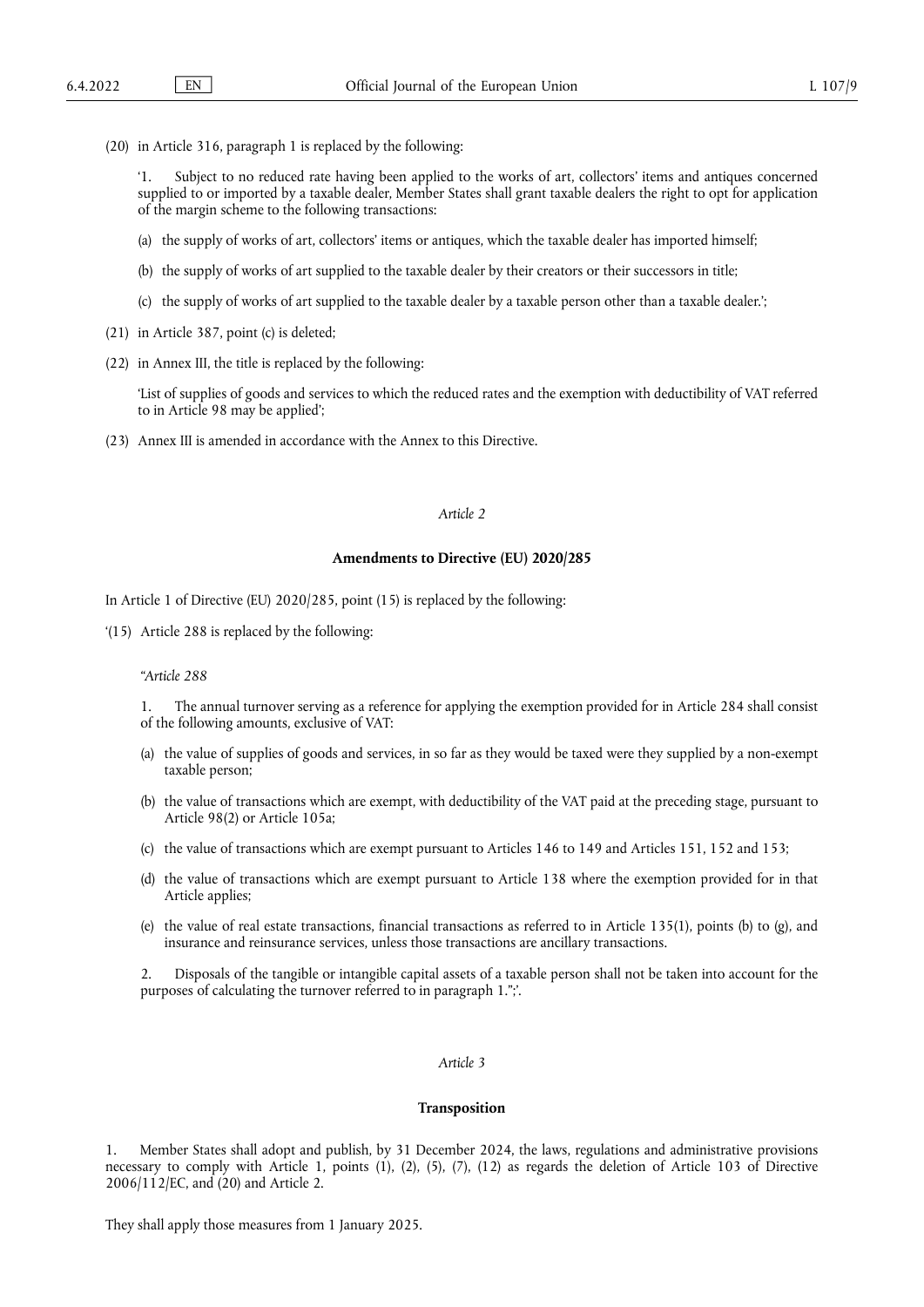(20) in Article 316, paragraph 1 is replaced by the following:

'1. Subject to no reduced rate having been applied to the works of art, collectors' items and antiques concerned supplied to or imported by a taxable dealer, Member States shall grant taxable dealers the right to opt for application of the margin scheme to the following transactions:

- (a) the supply of works of art, collectors' items or antiques, which the taxable dealer has imported himself;
- (b) the supply of works of art supplied to the taxable dealer by their creators or their successors in title;
- (c) the supply of works of art supplied to the taxable dealer by a taxable person other than a taxable dealer.';
- (21) in Article 387, point (c) is deleted;
- (22) in Annex III, the title is replaced by the following:

'List of supplies of goods and services to which the reduced rates and the exemption with deductibility of VAT referred to in Article 98 may be applied';

(23) Annex III is amended in accordance with the Annex to this Directive.

#### *Article 2*

#### **Amendments to Directive (EU) 2020/285**

In Article 1 of Directive (EU) 2020/285, point (15) is replaced by the following:

'(15) Article 288 is replaced by the following:

#### *"Article 288*

1. The annual turnover serving as a reference for applying the exemption provided for in Article 284 shall consist of the following amounts, exclusive of VAT:

- (a) the value of supplies of goods and services, in so far as they would be taxed were they supplied by a non-exempt taxable person;
- (b) the value of transactions which are exempt, with deductibility of the VAT paid at the preceding stage, pursuant to Article 98(2) or Article 105a;
- (c) the value of transactions which are exempt pursuant to Articles 146 to 149 and Articles 151, 152 and 153;
- (d) the value of transactions which are exempt pursuant to Article 138 where the exemption provided for in that Article applies;
- (e) the value of real estate transactions, financial transactions as referred to in Article 135(1), points (b) to (g), and insurance and reinsurance services, unless those transactions are ancillary transactions.

2. Disposals of the tangible or intangible capital assets of a taxable person shall not be taken into account for the purposes of calculating the turnover referred to in paragraph 1.";'.

### *Article 3*

#### **Transposition**

1. Member States shall adopt and publish, by 31 December 2024, the laws, regulations and administrative provisions necessary to comply with Article 1, points (1), (2), (5), (7), (12) as regards the deletion of Article 103 of Directive 2006/112/EC, and (20) and Article 2.

They shall apply those measures from 1 January 2025.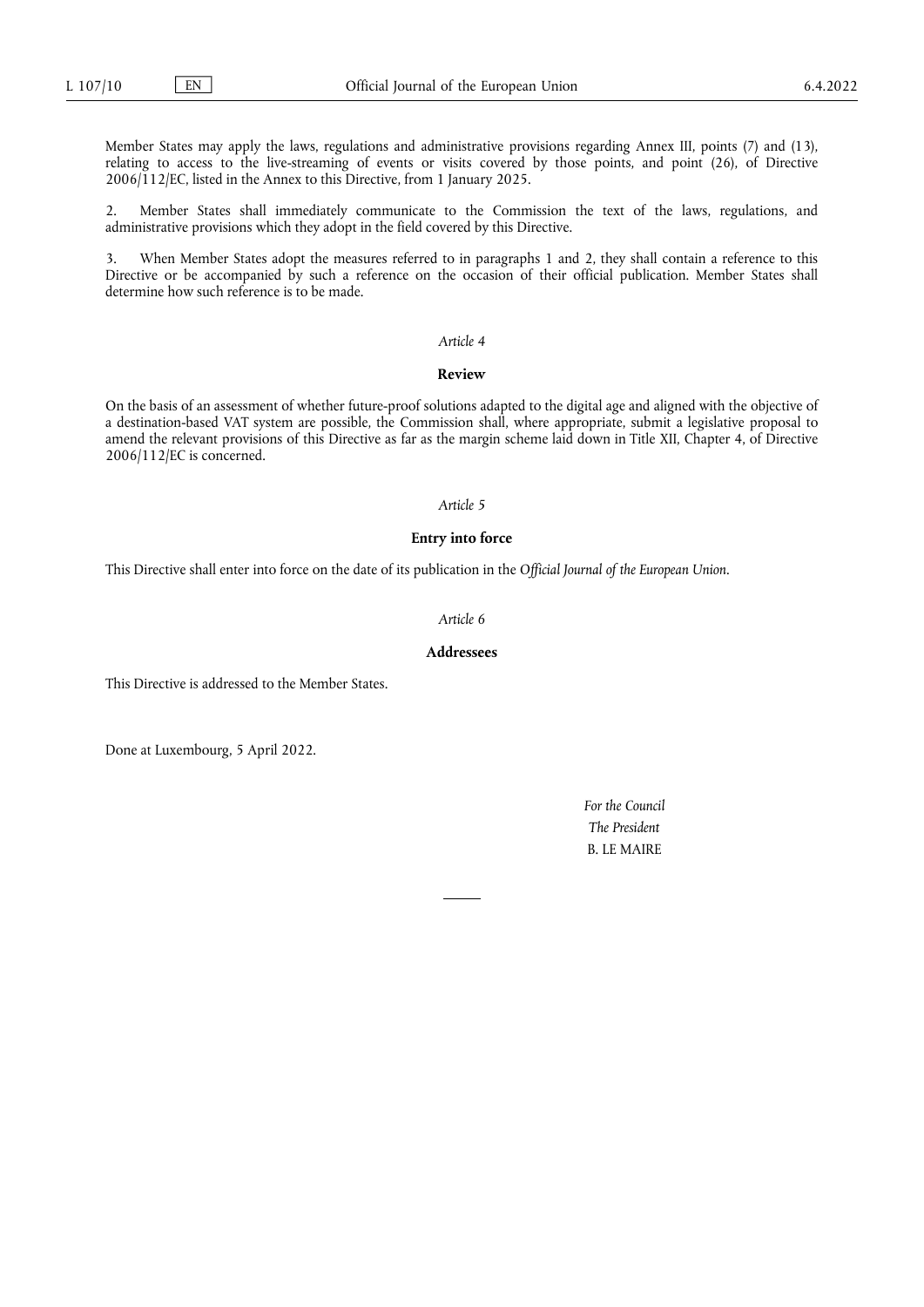Member States may apply the laws, regulations and administrative provisions regarding Annex III, points (7) and (13), relating to access to the live-streaming of events or visits covered by those points, and point (26), of Directive 2006/112/EC, listed in the Annex to this Directive, from 1 January 2025.

2. Member States shall immediately communicate to the Commission the text of the laws, regulations, and administrative provisions which they adopt in the field covered by this Directive.

3. When Member States adopt the measures referred to in paragraphs 1 and 2, they shall contain a reference to this Directive or be accompanied by such a reference on the occasion of their official publication. Member States shall determine how such reference is to be made.

#### *Article 4*

#### **Review**

On the basis of an assessment of whether future-proof solutions adapted to the digital age and aligned with the objective of a destination-based VAT system are possible, the Commission shall, where appropriate, submit a legislative proposal to amend the relevant provisions of this Directive as far as the margin scheme laid down in Title XII, Chapter 4, of Directive 2006/112/EC is concerned.

#### *Article 5*

### **Entry into force**

This Directive shall enter into force on the date of its publication in the *Official Journal of the European Union*.

#### *Article 6*

### **Addressees**

This Directive is addressed to the Member States.

Done at Luxembourg, 5 April 2022.

*For the Council The President* B. LE MAIRE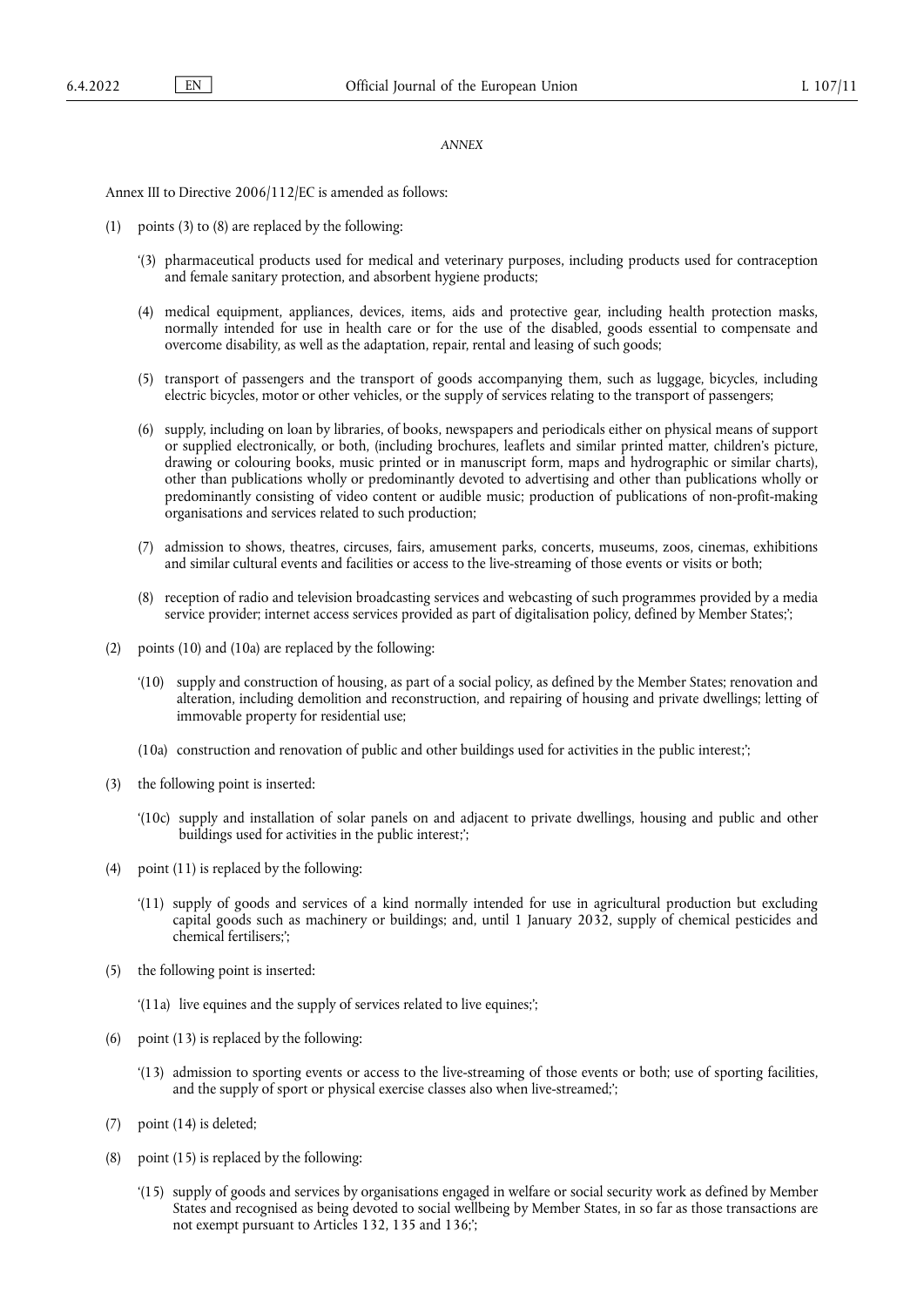#### *ANNEX*

Annex III to Directive 2006/112/EC is amended as follows:

- (1) points (3) to (8) are replaced by the following:
	- '(3) pharmaceutical products used for medical and veterinary purposes, including products used for contraception and female sanitary protection, and absorbent hygiene products;
	- (4) medical equipment, appliances, devices, items, aids and protective gear, including health protection masks, normally intended for use in health care or for the use of the disabled, goods essential to compensate and overcome disability, as well as the adaptation, repair, rental and leasing of such goods;
	- (5) transport of passengers and the transport of goods accompanying them, such as luggage, bicycles, including electric bicycles, motor or other vehicles, or the supply of services relating to the transport of passengers;
	- (6) supply, including on loan by libraries, of books, newspapers and periodicals either on physical means of support or supplied electronically, or both, (including brochures, leaflets and similar printed matter, children's picture, drawing or colouring books, music printed or in manuscript form, maps and hydrographic or similar charts), other than publications wholly or predominantly devoted to advertising and other than publications wholly or predominantly consisting of video content or audible music; production of publications of non-profit-making organisations and services related to such production;
	- (7) admission to shows, theatres, circuses, fairs, amusement parks, concerts, museums, zoos, cinemas, exhibitions and similar cultural events and facilities or access to the live-streaming of those events or visits or both;
	- (8) reception of radio and television broadcasting services and webcasting of such programmes provided by a media service provider; internet access services provided as part of digitalisation policy, defined by Member States;';
- (2) points (10) and (10a) are replaced by the following:
	- '(10) supply and construction of housing, as part of a social policy, as defined by the Member States; renovation and alteration, including demolition and reconstruction, and repairing of housing and private dwellings; letting of immovable property for residential use;
	- (10a) construction and renovation of public and other buildings used for activities in the public interest;';
- (3) the following point is inserted:
	- '(10c) supply and installation of solar panels on and adjacent to private dwellings, housing and public and other buildings used for activities in the public interest;';
- (4) point (11) is replaced by the following:
	- '(11) supply of goods and services of a kind normally intended for use in agricultural production but excluding capital goods such as machinery or buildings; and, until 1 January 2032, supply of chemical pesticides and chemical fertilisers;';
- (5) the following point is inserted:
	- '(11a) live equines and the supply of services related to live equines;';
- (6) point (13) is replaced by the following:
	- '(13) admission to sporting events or access to the live-streaming of those events or both; use of sporting facilities, and the supply of sport or physical exercise classes also when live-streamed;';
- (7) point (14) is deleted;
- (8) point (15) is replaced by the following:
	- '(15) supply of goods and services by organisations engaged in welfare or social security work as defined by Member States and recognised as being devoted to social wellbeing by Member States, in so far as those transactions are not exempt pursuant to Articles 132, 135 and 136;';